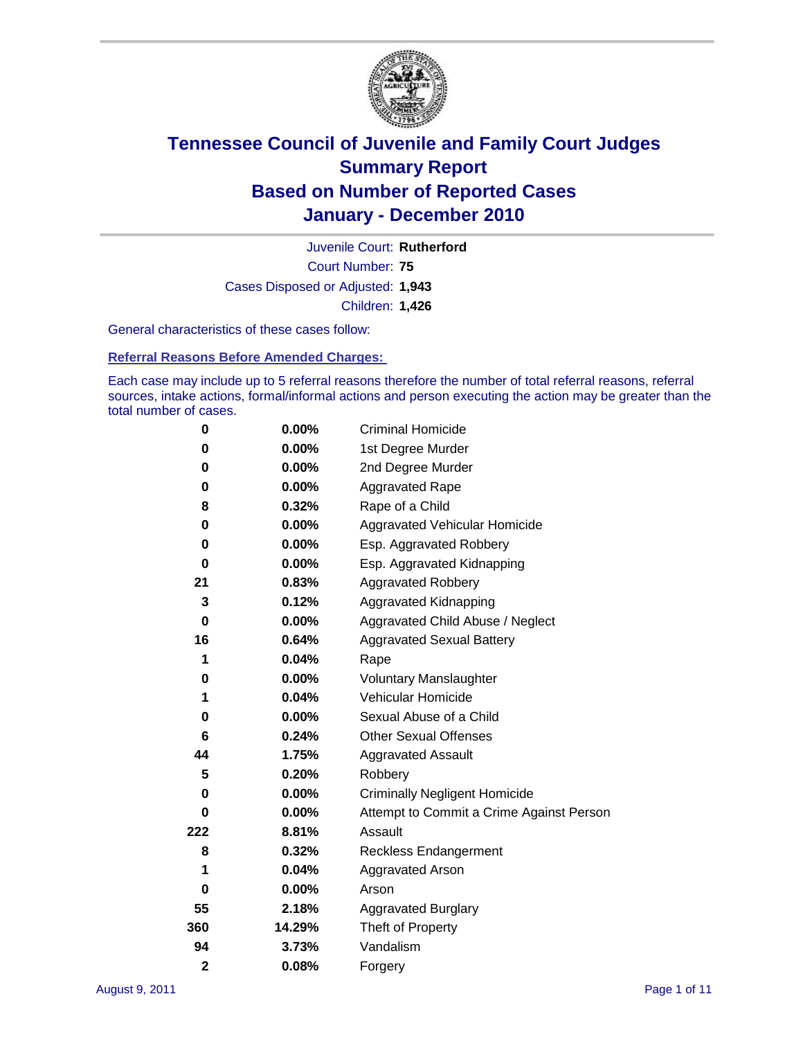

Court Number: **75** Juvenile Court: **Rutherford** Cases Disposed or Adjusted: **1,943** Children: **1,426**

General characteristics of these cases follow:

**Referral Reasons Before Amended Charges:** 

Each case may include up to 5 referral reasons therefore the number of total referral reasons, referral sources, intake actions, formal/informal actions and person executing the action may be greater than the total number of cases.

| 0              | $0.00\%$ | <b>Criminal Homicide</b>                 |  |  |
|----------------|----------|------------------------------------------|--|--|
| 0              | 0.00%    | 1st Degree Murder                        |  |  |
| 0              | $0.00\%$ | 2nd Degree Murder                        |  |  |
| 0              | $0.00\%$ | <b>Aggravated Rape</b>                   |  |  |
| 8              | 0.32%    | Rape of a Child                          |  |  |
| 0              | 0.00%    | Aggravated Vehicular Homicide            |  |  |
| 0              | $0.00\%$ | Esp. Aggravated Robbery                  |  |  |
| 0              | 0.00%    | Esp. Aggravated Kidnapping               |  |  |
| 21             | 0.83%    | <b>Aggravated Robbery</b>                |  |  |
| 3              | 0.12%    | Aggravated Kidnapping                    |  |  |
| 0              | 0.00%    | Aggravated Child Abuse / Neglect         |  |  |
| 16             | 0.64%    | <b>Aggravated Sexual Battery</b>         |  |  |
| 1              | 0.04%    | Rape                                     |  |  |
| 0              | $0.00\%$ | <b>Voluntary Manslaughter</b>            |  |  |
| 1              | 0.04%    | Vehicular Homicide                       |  |  |
| 0              | 0.00%    | Sexual Abuse of a Child                  |  |  |
| 6              | 0.24%    | <b>Other Sexual Offenses</b>             |  |  |
| 44             | 1.75%    | <b>Aggravated Assault</b>                |  |  |
| 5              | 0.20%    | Robbery                                  |  |  |
| 0              | $0.00\%$ | <b>Criminally Negligent Homicide</b>     |  |  |
| 0              | 0.00%    | Attempt to Commit a Crime Against Person |  |  |
| 222            | 8.81%    | Assault                                  |  |  |
| 8              | 0.32%    | <b>Reckless Endangerment</b>             |  |  |
| 1              | 0.04%    | <b>Aggravated Arson</b>                  |  |  |
| 0              | 0.00%    | Arson                                    |  |  |
| 55             | 2.18%    | <b>Aggravated Burglary</b>               |  |  |
| 360            | 14.29%   | Theft of Property                        |  |  |
| 94             | 3.73%    | Vandalism                                |  |  |
| $\overline{2}$ | 0.08%    | Forgery                                  |  |  |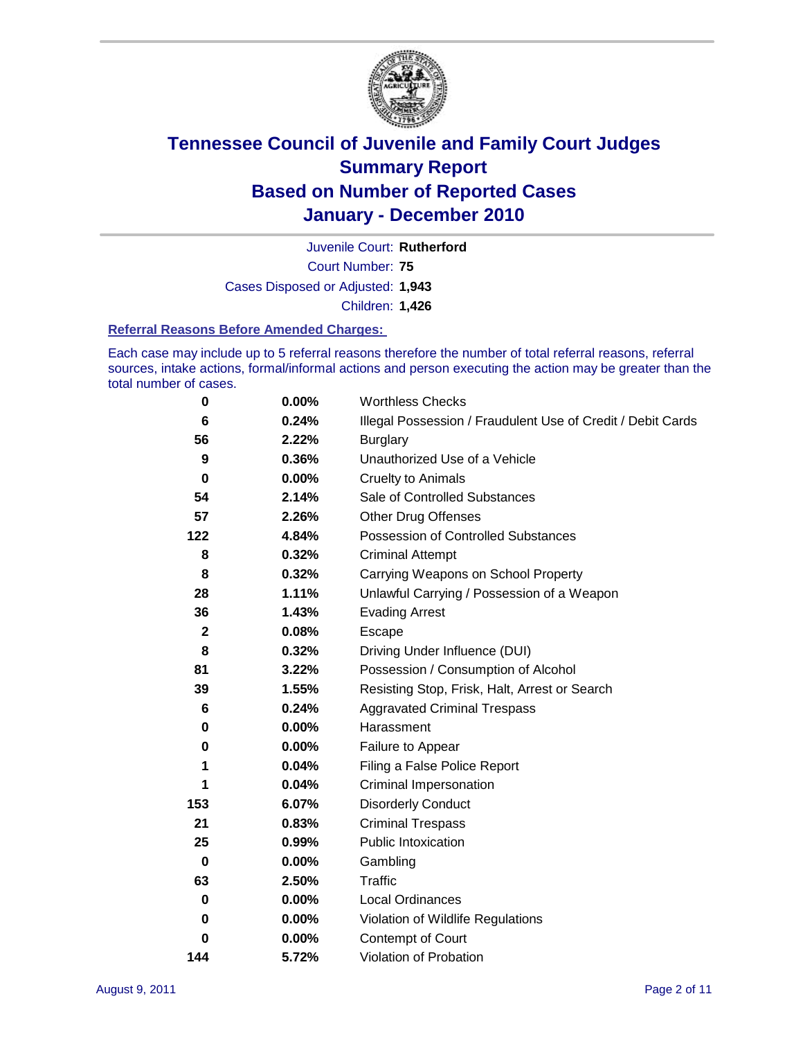

Court Number: **75** Juvenile Court: **Rutherford** Cases Disposed or Adjusted: **1,943** Children: **1,426**

#### **Referral Reasons Before Amended Charges:**

Each case may include up to 5 referral reasons therefore the number of total referral reasons, referral sources, intake actions, formal/informal actions and person executing the action may be greater than the total number of cases.

| 0            | 0.00%    | <b>Worthless Checks</b>                                     |  |  |
|--------------|----------|-------------------------------------------------------------|--|--|
| 6            | 0.24%    | Illegal Possession / Fraudulent Use of Credit / Debit Cards |  |  |
| 56           | 2.22%    | <b>Burglary</b>                                             |  |  |
| 9            | 0.36%    | Unauthorized Use of a Vehicle                               |  |  |
| 0            | $0.00\%$ | <b>Cruelty to Animals</b>                                   |  |  |
| 54           | 2.14%    | Sale of Controlled Substances                               |  |  |
| 57           | 2.26%    | <b>Other Drug Offenses</b>                                  |  |  |
| 122          | 4.84%    | Possession of Controlled Substances                         |  |  |
| 8            | 0.32%    | <b>Criminal Attempt</b>                                     |  |  |
| 8            | 0.32%    | Carrying Weapons on School Property                         |  |  |
| 28           | 1.11%    | Unlawful Carrying / Possession of a Weapon                  |  |  |
| 36           | 1.43%    | <b>Evading Arrest</b>                                       |  |  |
| $\mathbf{2}$ | 0.08%    | Escape                                                      |  |  |
| 8            | 0.32%    | Driving Under Influence (DUI)                               |  |  |
| 81           | 3.22%    | Possession / Consumption of Alcohol                         |  |  |
| 39           | 1.55%    | Resisting Stop, Frisk, Halt, Arrest or Search               |  |  |
| 6            | 0.24%    | <b>Aggravated Criminal Trespass</b>                         |  |  |
| 0            | $0.00\%$ | Harassment                                                  |  |  |
| 0            | 0.00%    | Failure to Appear                                           |  |  |
| 1            | 0.04%    | Filing a False Police Report                                |  |  |
| 1            | 0.04%    | Criminal Impersonation                                      |  |  |
| 153          | 6.07%    | <b>Disorderly Conduct</b>                                   |  |  |
| 21           | 0.83%    | <b>Criminal Trespass</b>                                    |  |  |
| 25           | 0.99%    | Public Intoxication                                         |  |  |
| 0            | $0.00\%$ | Gambling                                                    |  |  |
| 63           | 2.50%    | Traffic                                                     |  |  |
| 0            | $0.00\%$ | Local Ordinances                                            |  |  |
| 0            | 0.00%    | Violation of Wildlife Regulations                           |  |  |
| 0            | $0.00\%$ | Contempt of Court                                           |  |  |
| 144          | 5.72%    | Violation of Probation                                      |  |  |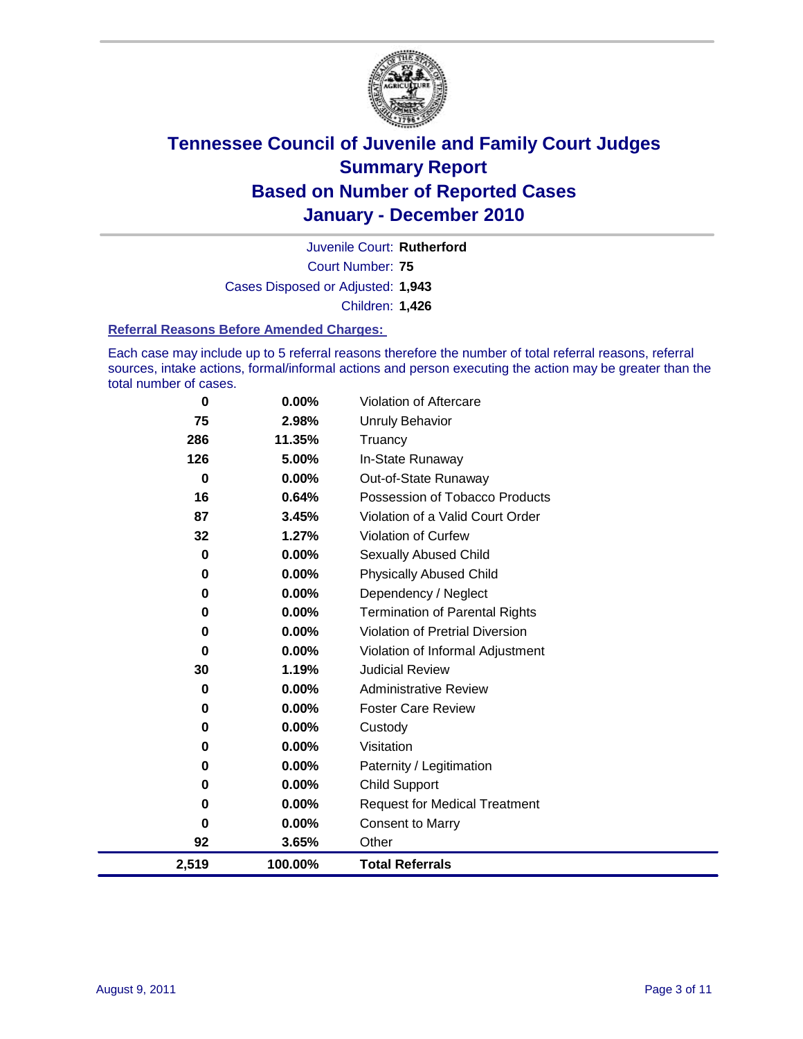

Court Number: **75** Juvenile Court: **Rutherford** Cases Disposed or Adjusted: **1,943** Children: **1,426**

#### **Referral Reasons Before Amended Charges:**

Each case may include up to 5 referral reasons therefore the number of total referral reasons, referral sources, intake actions, formal/informal actions and person executing the action may be greater than the total number of cases.

| 0           | 0.00%    | Violation of Aftercare                 |
|-------------|----------|----------------------------------------|
| 75          | 2.98%    | <b>Unruly Behavior</b>                 |
| 286         | 11.35%   | Truancy                                |
| 126         | 5.00%    | In-State Runaway                       |
| $\mathbf 0$ | 0.00%    | Out-of-State Runaway                   |
| 16          | 0.64%    | Possession of Tobacco Products         |
| 87          | 3.45%    | Violation of a Valid Court Order       |
| 32          | 1.27%    | Violation of Curfew                    |
| $\mathbf 0$ | 0.00%    | <b>Sexually Abused Child</b>           |
| 0           | 0.00%    | <b>Physically Abused Child</b>         |
| 0           | 0.00%    | Dependency / Neglect                   |
| 0           | $0.00\%$ | <b>Termination of Parental Rights</b>  |
| 0           | 0.00%    | <b>Violation of Pretrial Diversion</b> |
| $\mathbf 0$ | 0.00%    | Violation of Informal Adjustment       |
| 30          | 1.19%    | <b>Judicial Review</b>                 |
| 0           | 0.00%    | <b>Administrative Review</b>           |
| 0           | $0.00\%$ | <b>Foster Care Review</b>              |
| 0           | 0.00%    | Custody                                |
| 0           | 0.00%    | Visitation                             |
| 0           | $0.00\%$ | Paternity / Legitimation               |
| 0           | 0.00%    | <b>Child Support</b>                   |
| 0           | $0.00\%$ | <b>Request for Medical Treatment</b>   |
| 0           | 0.00%    | <b>Consent to Marry</b>                |
| 92          | 3.65%    | Other                                  |
| 2,519       | 100.00%  | <b>Total Referrals</b>                 |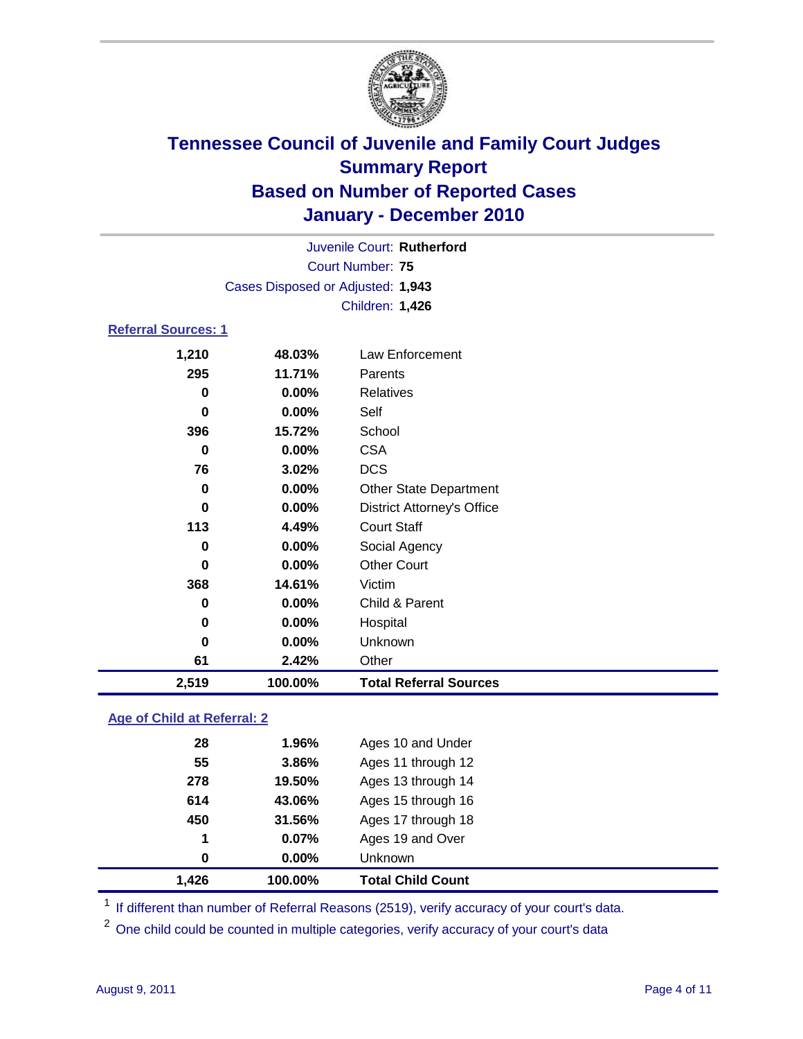

| 2,519                      | 100.00%                           | <b>Total Referral Sources</b>     |  |  |  |
|----------------------------|-----------------------------------|-----------------------------------|--|--|--|
| 61                         | 2.42%                             | Other                             |  |  |  |
| 0                          | 0.00%                             | Unknown                           |  |  |  |
| 0                          | $0.00\%$                          | Hospital                          |  |  |  |
| 0                          | $0.00\%$                          | Child & Parent                    |  |  |  |
| 368                        | 14.61%                            | Victim                            |  |  |  |
| 0                          | $0.00\%$                          | <b>Other Court</b>                |  |  |  |
| $\bf{0}$                   | $0.00\%$                          | Social Agency                     |  |  |  |
| 113                        | 4.49%                             | <b>Court Staff</b>                |  |  |  |
| 0                          | $0.00\%$                          | <b>District Attorney's Office</b> |  |  |  |
| 0                          | $0.00\%$                          | <b>Other State Department</b>     |  |  |  |
| 76                         | 3.02%                             | <b>DCS</b>                        |  |  |  |
| 0                          | $0.00\%$                          | <b>CSA</b>                        |  |  |  |
| 396                        | 15.72%                            | School                            |  |  |  |
| $\bf{0}$                   | $0.00\%$                          | Self                              |  |  |  |
| 0                          | 0.00%                             | Relatives                         |  |  |  |
| 295                        | 11.71%                            | Parents                           |  |  |  |
| 1,210                      | 48.03%                            | Law Enforcement                   |  |  |  |
| <b>Referral Sources: 1</b> |                                   |                                   |  |  |  |
|                            | Children: 1,426                   |                                   |  |  |  |
|                            | Cases Disposed or Adjusted: 1,943 |                                   |  |  |  |
|                            | <b>Court Number: 75</b>           |                                   |  |  |  |
| Juvenile Court: Rutherford |                                   |                                   |  |  |  |
|                            |                                   |                                   |  |  |  |

### **Age of Child at Referral: 2**

|     | 100.00%  | <b>Total Child Count</b> |
|-----|----------|--------------------------|
| 0   | $0.00\%$ | <b>Unknown</b>           |
| 1   | 0.07%    | Ages 19 and Over         |
| 450 | 31.56%   | Ages 17 through 18       |
| 614 | 43.06%   | Ages 15 through 16       |
| 278 | 19.50%   | Ages 13 through 14       |
| 55  | 3.86%    | Ages 11 through 12       |
| 28  | 1.96%    | Ages 10 and Under        |
|     | 1.426    |                          |

<sup>1</sup> If different than number of Referral Reasons (2519), verify accuracy of your court's data.

<sup>2</sup> One child could be counted in multiple categories, verify accuracy of your court's data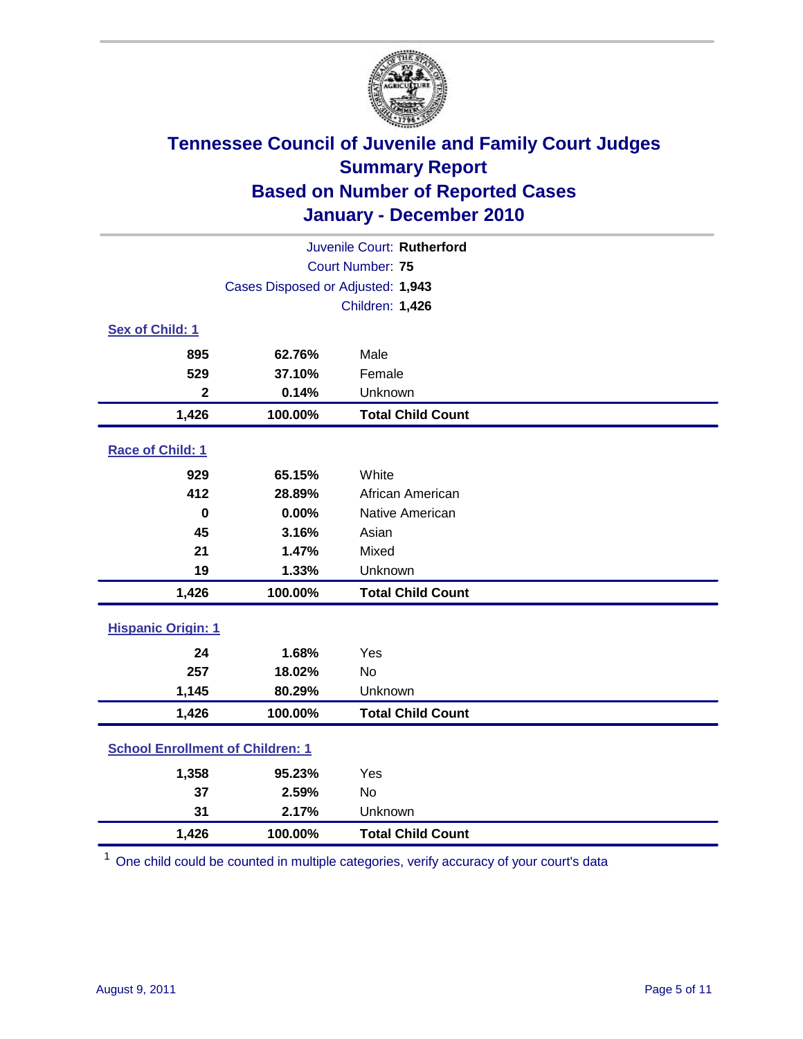

| Juvenile Court: Rutherford              |                                   |                          |  |  |
|-----------------------------------------|-----------------------------------|--------------------------|--|--|
|                                         | <b>Court Number: 75</b>           |                          |  |  |
|                                         | Cases Disposed or Adjusted: 1,943 |                          |  |  |
|                                         |                                   | Children: 1,426          |  |  |
| Sex of Child: 1                         |                                   |                          |  |  |
| 895                                     | 62.76%                            | Male                     |  |  |
| 529                                     | 37.10%                            | Female                   |  |  |
| $\mathbf{2}$                            | 0.14%                             | Unknown                  |  |  |
| 1,426                                   | 100.00%                           | <b>Total Child Count</b> |  |  |
| Race of Child: 1                        |                                   |                          |  |  |
| 929                                     | 65.15%                            | White                    |  |  |
| 412                                     | 28.89%                            | African American         |  |  |
| $\bf{0}$                                | 0.00%                             | Native American          |  |  |
| 45                                      | 3.16%                             | Asian                    |  |  |
| 21                                      | 1.47%                             | Mixed                    |  |  |
| 19                                      | 1.33%                             | Unknown                  |  |  |
| 1,426                                   | 100.00%                           | <b>Total Child Count</b> |  |  |
| <b>Hispanic Origin: 1</b>               |                                   |                          |  |  |
| 24                                      | 1.68%                             | Yes                      |  |  |
| 257                                     | 18.02%                            | <b>No</b>                |  |  |
| 1,145                                   | 80.29%                            | Unknown                  |  |  |
| 1,426                                   | 100.00%                           | <b>Total Child Count</b> |  |  |
| <b>School Enrollment of Children: 1</b> |                                   |                          |  |  |
| 1,358                                   | 95.23%                            | Yes                      |  |  |
| 37                                      | 2.59%                             | No                       |  |  |
| 31                                      | 2.17%                             | Unknown                  |  |  |
| 1,426                                   | 100.00%                           | <b>Total Child Count</b> |  |  |

<sup>1</sup> One child could be counted in multiple categories, verify accuracy of your court's data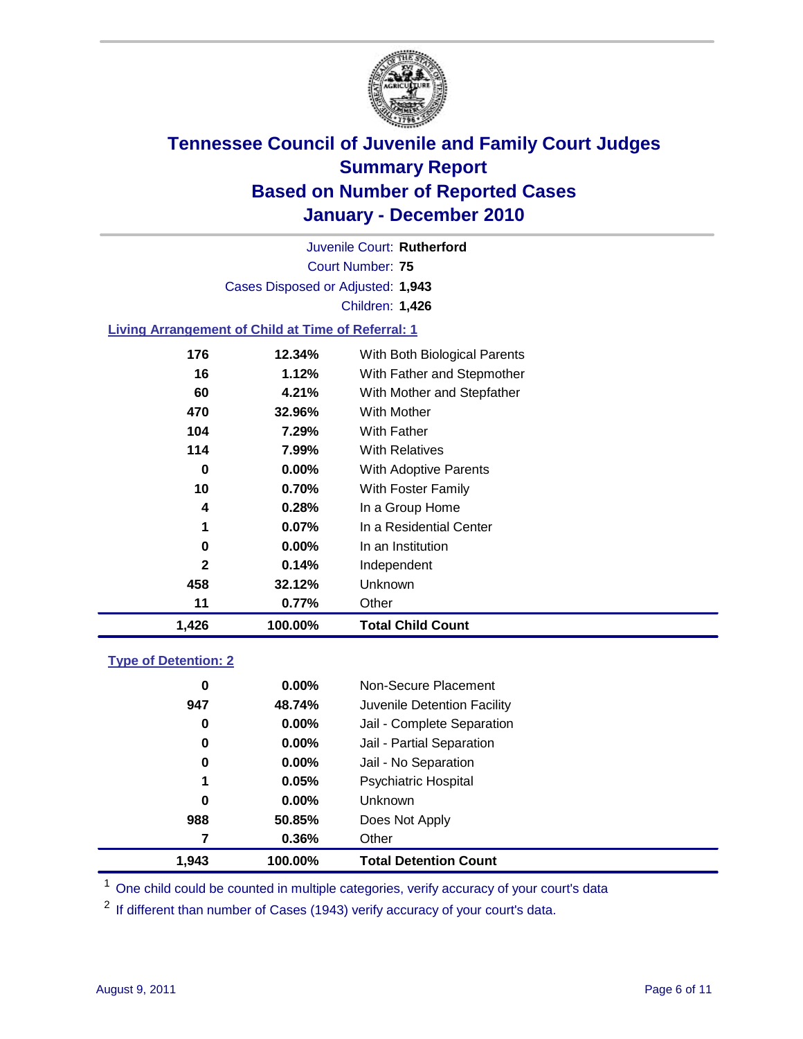

Court Number: **75** Juvenile Court: **Rutherford** Cases Disposed or Adjusted: **1,943** Children: **1,426**

### **Living Arrangement of Child at Time of Referral: 1**

| 1,426 | 100.00%  | Total Child Count            |
|-------|----------|------------------------------|
| 11    | 0.77%    | Other                        |
| 458   | 32.12%   | Unknown                      |
| 2     | 0.14%    | Independent                  |
| 0     | $0.00\%$ | In an Institution            |
| 1     | 0.07%    | In a Residential Center      |
| 4     | 0.28%    | In a Group Home              |
| 10    | 0.70%    | With Foster Family           |
| 0     | $0.00\%$ | With Adoptive Parents        |
| 114   | 7.99%    | <b>With Relatives</b>        |
| 104   | 7.29%    | With Father                  |
| 470   | 32.96%   | <b>With Mother</b>           |
| 60    | 4.21%    | With Mother and Stepfather   |
| 16    | 1.12%    | With Father and Stepmother   |
| 176   | 12.34%   | With Both Biological Parents |
|       |          |                              |

#### **Type of Detention: 2**

| 1.943    | 100.00%  | <b>Total Detention Count</b> |
|----------|----------|------------------------------|
| 7        | $0.36\%$ | Other                        |
| 988      | 50.85%   | Does Not Apply               |
| 0        | $0.00\%$ | <b>Unknown</b>               |
| 1        | 0.05%    | Psychiatric Hospital         |
| $\bf{0}$ | 0.00%    | Jail - No Separation         |
| 0        | $0.00\%$ | Jail - Partial Separation    |
| 0        | 0.00%    | Jail - Complete Separation   |
| 947      | 48.74%   | Juvenile Detention Facility  |
| 0        | $0.00\%$ | Non-Secure Placement         |
|          |          |                              |

<sup>1</sup> One child could be counted in multiple categories, verify accuracy of your court's data

<sup>2</sup> If different than number of Cases (1943) verify accuracy of your court's data.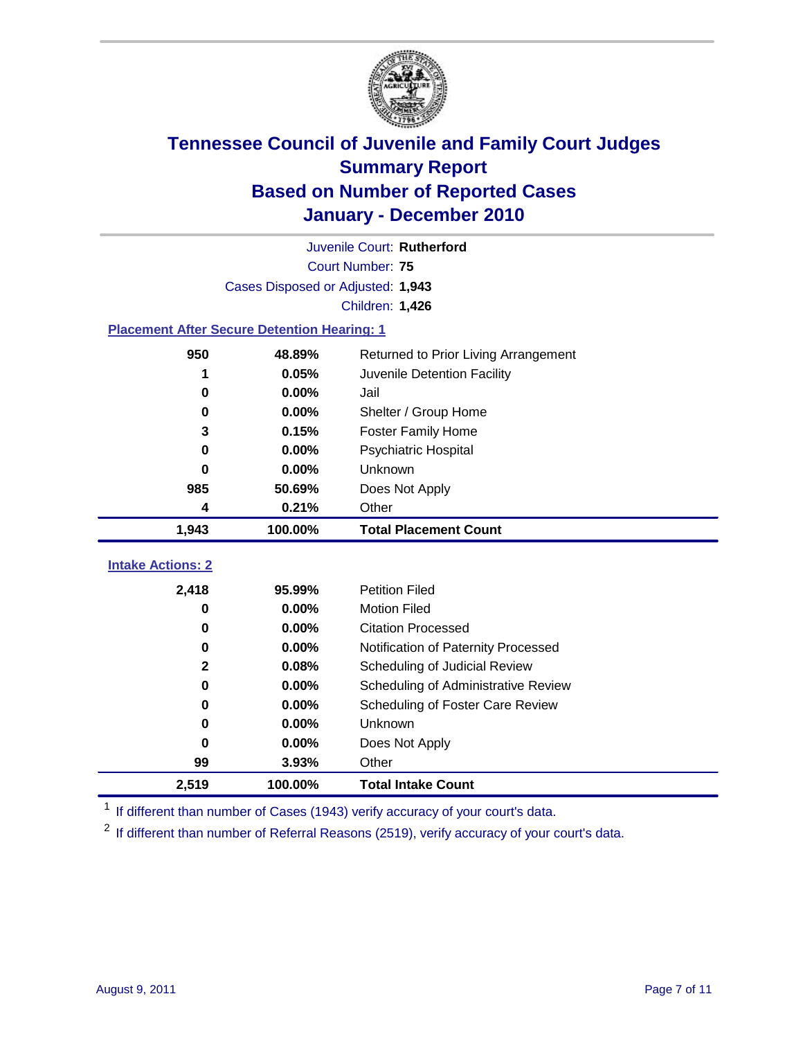

| Juvenile Court: Rutherford                         |                                   |                                      |  |  |  |
|----------------------------------------------------|-----------------------------------|--------------------------------------|--|--|--|
|                                                    | <b>Court Number: 75</b>           |                                      |  |  |  |
|                                                    | Cases Disposed or Adjusted: 1,943 |                                      |  |  |  |
|                                                    |                                   | <b>Children: 1,426</b>               |  |  |  |
| <b>Placement After Secure Detention Hearing: 1</b> |                                   |                                      |  |  |  |
| 950                                                | 48.89%                            | Returned to Prior Living Arrangement |  |  |  |
| 1                                                  | 0.05%                             | Juvenile Detention Facility          |  |  |  |
| $\bf{0}$                                           | 0.00%                             | Jail                                 |  |  |  |
| 0                                                  | 0.00%                             | Shelter / Group Home                 |  |  |  |
| 3                                                  | 0.15%                             | <b>Foster Family Home</b>            |  |  |  |
| 0                                                  | 0.00%                             | Psychiatric Hospital                 |  |  |  |
| 0                                                  | 0.00%                             | Unknown                              |  |  |  |
| 985                                                | 50.69%                            | Does Not Apply                       |  |  |  |
| 4                                                  | 0.21%                             | Other                                |  |  |  |
| 1,943                                              | 100.00%                           | <b>Total Placement Count</b>         |  |  |  |
| <b>Intake Actions: 2</b>                           |                                   |                                      |  |  |  |
| 2,418                                              | 95.99%                            | <b>Petition Filed</b>                |  |  |  |
| 0                                                  | 0.00%                             | <b>Motion Filed</b>                  |  |  |  |
| $\bf{0}$                                           | 0.00%                             | <b>Citation Processed</b>            |  |  |  |
| 0                                                  | 0.00%                             | Notification of Paternity Processed  |  |  |  |
| 2                                                  | 0.08%                             | Scheduling of Judicial Review        |  |  |  |
| 0                                                  | 0.00%                             | Scheduling of Administrative Review  |  |  |  |
| 0                                                  | 0.00%                             | Scheduling of Foster Care Review     |  |  |  |
| 0                                                  | 0.00%                             | <b>Unknown</b>                       |  |  |  |
| $\bf{0}$                                           | 0.00%                             | Does Not Apply                       |  |  |  |
| 99                                                 | 3.93%                             | Other                                |  |  |  |
| 2,519                                              | 100.00%                           | <b>Total Intake Count</b>            |  |  |  |

<sup>1</sup> If different than number of Cases (1943) verify accuracy of your court's data.

<sup>2</sup> If different than number of Referral Reasons (2519), verify accuracy of your court's data.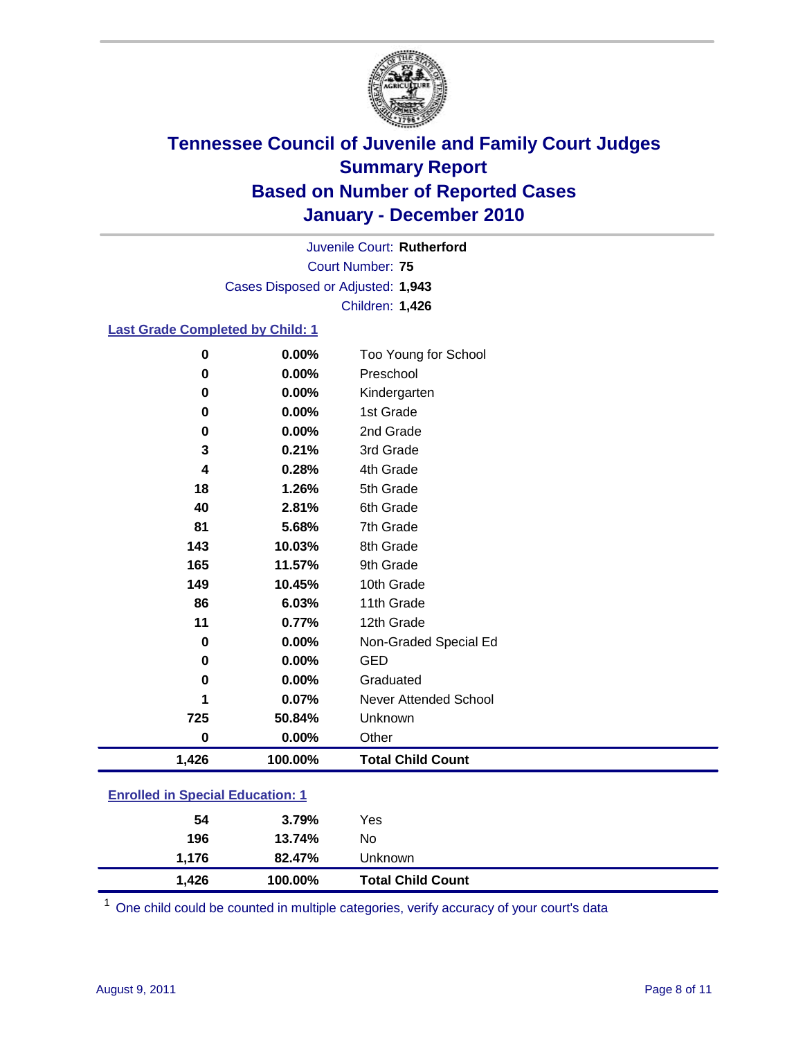

Court Number: **75** Juvenile Court: **Rutherford** Cases Disposed or Adjusted: **1,943** Children: **1,426**

#### **Last Grade Completed by Child: 1**

| 0                                       | 0.00%   | Too Young for School         |  |
|-----------------------------------------|---------|------------------------------|--|
| $\bf{0}$                                | 0.00%   | Preschool                    |  |
| 0                                       | 0.00%   | Kindergarten                 |  |
| 0                                       | 0.00%   | 1st Grade                    |  |
| $\bf{0}$                                | 0.00%   | 2nd Grade                    |  |
| 3                                       | 0.21%   | 3rd Grade                    |  |
| 4                                       | 0.28%   | 4th Grade                    |  |
| 18                                      | 1.26%   | 5th Grade                    |  |
| 40                                      | 2.81%   | 6th Grade                    |  |
| 81                                      | 5.68%   | 7th Grade                    |  |
| 143                                     | 10.03%  | 8th Grade                    |  |
| 165                                     | 11.57%  | 9th Grade                    |  |
| 149                                     | 10.45%  | 10th Grade                   |  |
| 86                                      | 6.03%   | 11th Grade                   |  |
| 11                                      | 0.77%   | 12th Grade                   |  |
| 0                                       | 0.00%   | Non-Graded Special Ed        |  |
| 0                                       | 0.00%   | <b>GED</b>                   |  |
| 0                                       | 0.00%   | Graduated                    |  |
| 1                                       | 0.07%   | <b>Never Attended School</b> |  |
| 725                                     | 50.84%  | Unknown                      |  |
| $\bf{0}$                                | 0.00%   | Other                        |  |
| 1,426                                   | 100.00% | <b>Total Child Count</b>     |  |
| <b>Enrolled in Special Education: 1</b> |         |                              |  |
|                                         |         |                              |  |

| 1,426 | 100.00% | <b>Total Child Count</b> |  |
|-------|---------|--------------------------|--|
| 1.176 | 82.47%  | Unknown                  |  |
| 196   | 13.74%  | No                       |  |
| 54    | 3.79%   | Yes                      |  |
|       |         |                          |  |

One child could be counted in multiple categories, verify accuracy of your court's data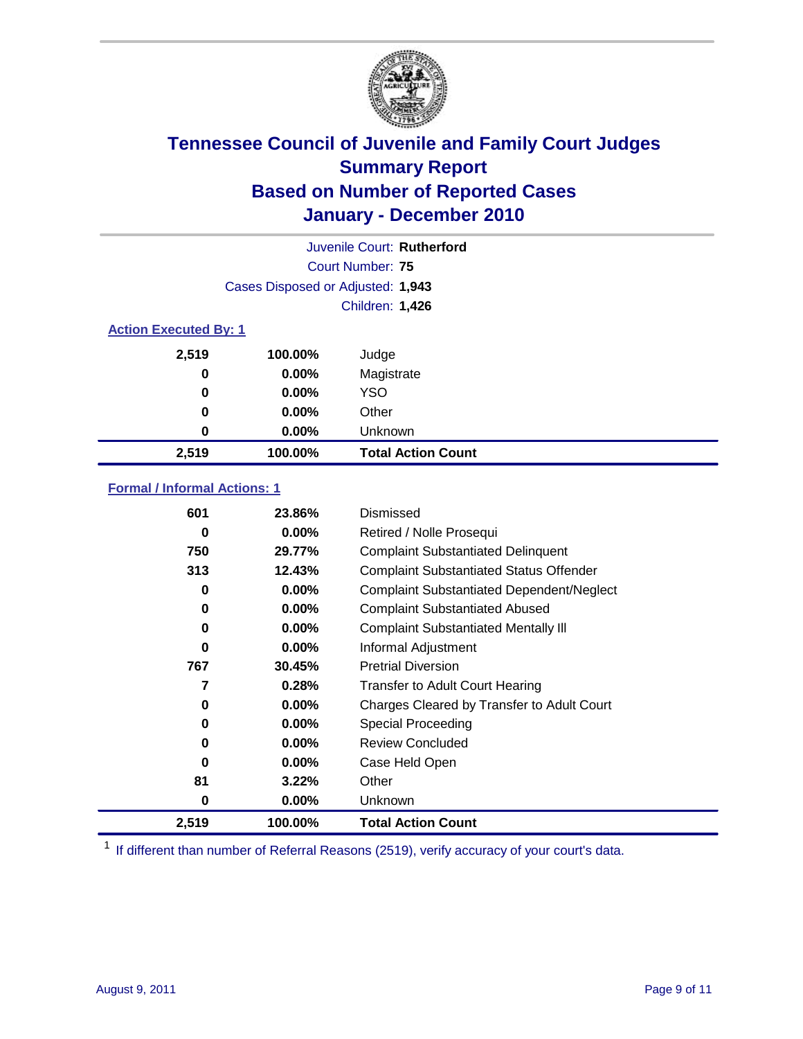

|       |                                   | Juvenile Court: Rutherford |  |  |  |
|-------|-----------------------------------|----------------------------|--|--|--|
|       |                                   | Court Number: 75           |  |  |  |
|       | Cases Disposed or Adjusted: 1,943 |                            |  |  |  |
|       |                                   | Children: 1,426            |  |  |  |
|       | <b>Action Executed By: 1</b>      |                            |  |  |  |
| 2,519 | 100.00%                           | Judge                      |  |  |  |
| 0     | $0.00\%$                          | Magistrate                 |  |  |  |
| 0     | $0.00\%$                          | <b>YSO</b>                 |  |  |  |
| 0     | 0.00%                             | Other                      |  |  |  |
| 0     | 0.00%                             | Unknown                    |  |  |  |
| 2,519 | 100.00%                           | <b>Total Action Count</b>  |  |  |  |

### **Formal / Informal Actions: 1**

| 601   | 23.86%   | Dismissed                                        |
|-------|----------|--------------------------------------------------|
| 0     | $0.00\%$ | Retired / Nolle Prosequi                         |
| 750   | 29.77%   | <b>Complaint Substantiated Delinquent</b>        |
| 313   | 12.43%   | <b>Complaint Substantiated Status Offender</b>   |
| 0     | $0.00\%$ | <b>Complaint Substantiated Dependent/Neglect</b> |
| 0     | $0.00\%$ | <b>Complaint Substantiated Abused</b>            |
| 0     | $0.00\%$ | <b>Complaint Substantiated Mentally III</b>      |
| 0     | $0.00\%$ | Informal Adjustment                              |
| 767   | 30.45%   | <b>Pretrial Diversion</b>                        |
| 7     | 0.28%    | <b>Transfer to Adult Court Hearing</b>           |
| 0     | $0.00\%$ | Charges Cleared by Transfer to Adult Court       |
| 0     | $0.00\%$ | Special Proceeding                               |
| 0     | $0.00\%$ | <b>Review Concluded</b>                          |
| 0     | $0.00\%$ | Case Held Open                                   |
| 81    | 3.22%    | Other                                            |
| 0     | $0.00\%$ | <b>Unknown</b>                                   |
| 2,519 | 100.00%  | <b>Total Action Count</b>                        |

<sup>1</sup> If different than number of Referral Reasons (2519), verify accuracy of your court's data.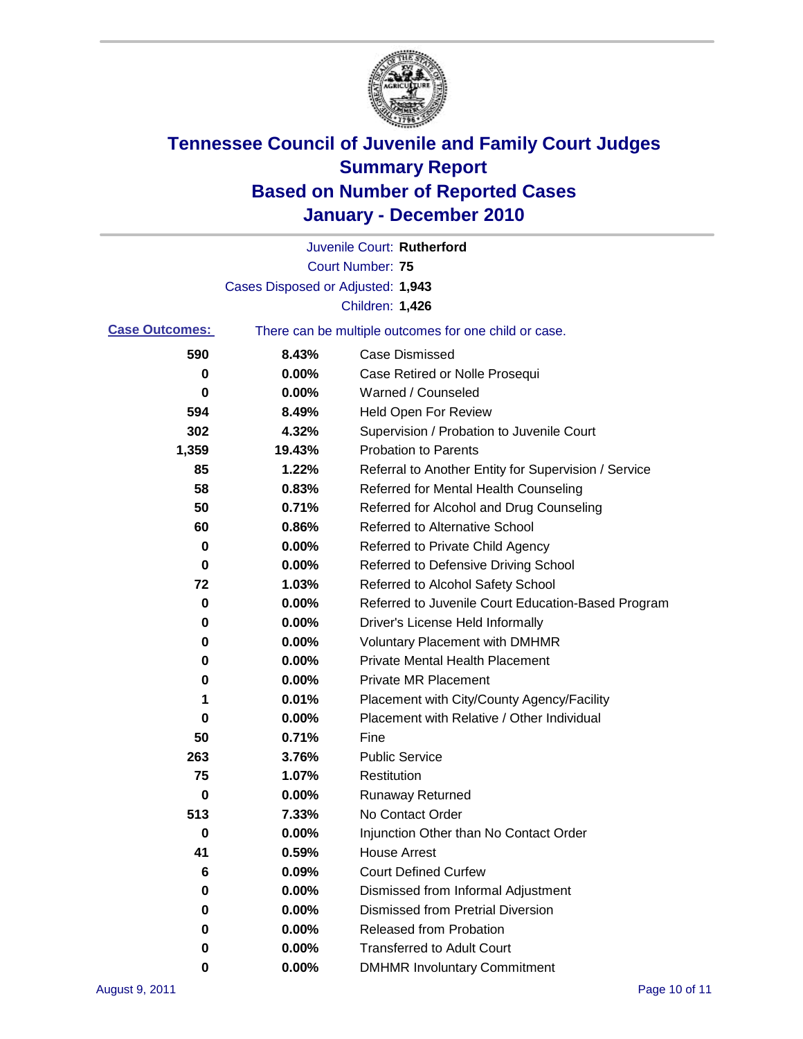

|                       |                                                       | Juvenile Court: Rutherford                           |  |
|-----------------------|-------------------------------------------------------|------------------------------------------------------|--|
|                       |                                                       | <b>Court Number: 75</b>                              |  |
|                       | Cases Disposed or Adjusted: 1,943                     |                                                      |  |
|                       |                                                       | Children: 1,426                                      |  |
| <b>Case Outcomes:</b> | There can be multiple outcomes for one child or case. |                                                      |  |
| 590                   | 8.43%                                                 | <b>Case Dismissed</b>                                |  |
| 0                     | 0.00%                                                 | Case Retired or Nolle Prosequi                       |  |
| 0                     | 0.00%                                                 | Warned / Counseled                                   |  |
| 594                   | 8.49%                                                 | <b>Held Open For Review</b>                          |  |
| 302                   | 4.32%                                                 | Supervision / Probation to Juvenile Court            |  |
| 1,359                 | 19.43%                                                | <b>Probation to Parents</b>                          |  |
| 85                    | 1.22%                                                 | Referral to Another Entity for Supervision / Service |  |
| 58                    | 0.83%                                                 | Referred for Mental Health Counseling                |  |
| 50                    | 0.71%                                                 | Referred for Alcohol and Drug Counseling             |  |
| 60                    | 0.86%                                                 | <b>Referred to Alternative School</b>                |  |
| 0                     | 0.00%                                                 | Referred to Private Child Agency                     |  |
| 0                     | 0.00%                                                 | Referred to Defensive Driving School                 |  |
| 72                    | 1.03%                                                 | Referred to Alcohol Safety School                    |  |
| 0                     | 0.00%                                                 | Referred to Juvenile Court Education-Based Program   |  |
| 0                     | 0.00%                                                 | Driver's License Held Informally                     |  |
| 0                     | 0.00%                                                 | <b>Voluntary Placement with DMHMR</b>                |  |
| 0                     | 0.00%                                                 | <b>Private Mental Health Placement</b>               |  |
| 0                     | 0.00%                                                 | <b>Private MR Placement</b>                          |  |
| 1                     | 0.01%                                                 | Placement with City/County Agency/Facility           |  |
| 0                     | 0.00%                                                 | Placement with Relative / Other Individual           |  |
| 50                    | 0.71%                                                 | Fine                                                 |  |
| 263                   | 3.76%                                                 | <b>Public Service</b>                                |  |
| 75                    | 1.07%                                                 | Restitution                                          |  |
| 0                     | 0.00%                                                 | <b>Runaway Returned</b>                              |  |
| 513                   | 7.33%                                                 | No Contact Order                                     |  |
| 0                     | 0.00%                                                 | Injunction Other than No Contact Order               |  |
| 41                    | 0.59%                                                 | <b>House Arrest</b>                                  |  |
| 6                     | 0.09%                                                 | <b>Court Defined Curfew</b>                          |  |
| 0                     | 0.00%                                                 | Dismissed from Informal Adjustment                   |  |
| 0                     | 0.00%                                                 | <b>Dismissed from Pretrial Diversion</b>             |  |
| 0                     | 0.00%                                                 | Released from Probation                              |  |
| 0                     | 0.00%                                                 | <b>Transferred to Adult Court</b>                    |  |
| 0                     | $0.00\%$                                              | <b>DMHMR Involuntary Commitment</b>                  |  |